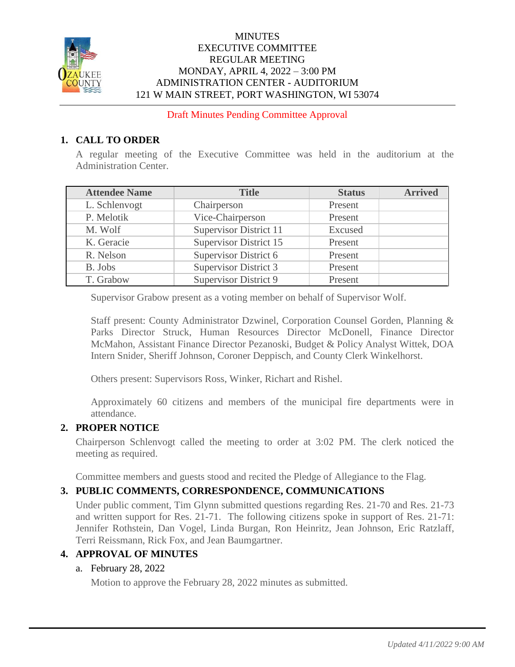

### **MINUTES** EXECUTIVE COMMITTEE REGULAR MEETING MONDAY, APRIL 4, 2022 – 3:00 PM ADMINISTRATION CENTER - AUDITORIUM 121 W MAIN STREET, PORT WASHINGTON, WI 53074

Draft Minutes Pending Committee Approval

## **1. CALL TO ORDER**

A regular meeting of the Executive Committee was held in the auditorium at the Administration Center.

| <b>Attendee Name</b> | <b>Title</b>                  | <b>Status</b> | <b>Arrived</b> |
|----------------------|-------------------------------|---------------|----------------|
| L. Schlenvogt        | Chairperson                   | Present       |                |
| P. Melotik           | Vice-Chairperson              | Present       |                |
| M. Wolf              | Supervisor District 11        | Excused       |                |
| K. Geracie           | <b>Supervisor District 15</b> | Present       |                |
| R. Nelson            | Supervisor District 6         | Present       |                |
| B. Jobs              | <b>Supervisor District 3</b>  | Present       |                |
| T. Grabow            | <b>Supervisor District 9</b>  | Present       |                |

Supervisor Grabow present as a voting member on behalf of Supervisor Wolf.

Staff present: County Administrator Dzwinel, Corporation Counsel Gorden, Planning & Parks Director Struck, Human Resources Director McDonell, Finance Director McMahon, Assistant Finance Director Pezanoski, Budget & Policy Analyst Wittek, DOA Intern Snider, Sheriff Johnson, Coroner Deppisch, and County Clerk Winkelhorst.

Others present: Supervisors Ross, Winker, Richart and Rishel.

Approximately 60 citizens and members of the municipal fire departments were in attendance.

### **2. PROPER NOTICE**

Chairperson Schlenvogt called the meeting to order at 3:02 PM. The clerk noticed the meeting as required.

Committee members and guests stood and recited the Pledge of Allegiance to the Flag.

### **3. PUBLIC COMMENTS, CORRESPONDENCE, COMMUNICATIONS**

Under public comment, Tim Glynn submitted questions regarding Res. 21-70 and Res. 21-73 and written support for Res. 21-71. The following citizens spoke in support of Res. 21-71: Jennifer Rothstein, Dan Vogel, Linda Burgan, Ron Heinritz, Jean Johnson, Eric Ratzlaff, Terri Reissmann, Rick Fox, and Jean Baumgartner.

#### **4. APPROVAL OF MINUTES**

### a. February 28, 2022

Motion to approve the February 28, 2022 minutes as submitted.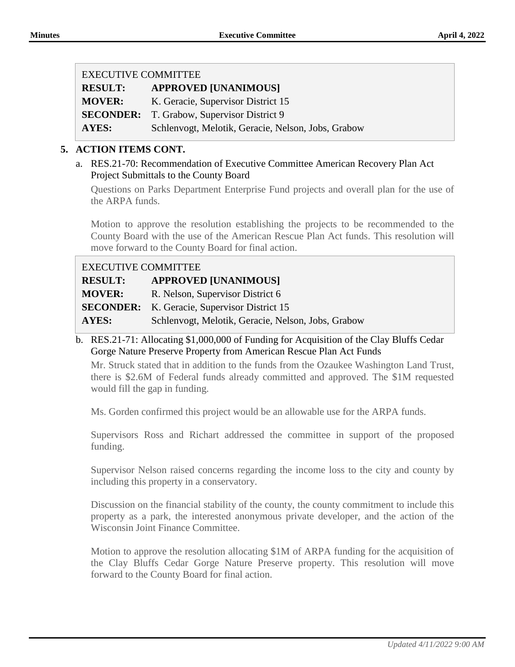| <b>EXECUTIVE COMMITTEE</b> |                                                    |
|----------------------------|----------------------------------------------------|
| <b>RESULT:</b>             | <b>APPROVED [UNANIMOUS]</b>                        |
| <b>MOVER:</b>              | K. Geracie, Supervisor District 15                 |
|                            | <b>SECONDER:</b> T. Grabow, Supervisor District 9  |
| AYES:                      | Schlenvogt, Melotik, Geracie, Nelson, Jobs, Grabow |

### **5. ACTION ITEMS CONT.**

a. RES.21-70: Recommendation of Executive Committee American Recovery Plan Act Project Submittals to the County Board

Questions on Parks Department Enterprise Fund projects and overall plan for the use of the ARPA funds.

Motion to approve the resolution establishing the projects to be recommended to the County Board with the use of the American Rescue Plan Act funds. This resolution will move forward to the County Board for final action.

| <b>EXECUTIVE COMMITTEE</b> |                                                     |
|----------------------------|-----------------------------------------------------|
| <b>RESULT:</b>             | <b>APPROVED [UNANIMOUS]</b>                         |
| <b>MOVER:</b>              | R. Nelson, Supervisor District 6                    |
|                            | <b>SECONDER:</b> K. Geracie, Supervisor District 15 |
| AYES:                      | Schlenvogt, Melotik, Geracie, Nelson, Jobs, Grabow  |

b. RES.21-71: Allocating \$1,000,000 of Funding for Acquisition of the Clay Bluffs Cedar Gorge Nature Preserve Property from American Rescue Plan Act Funds

Mr. Struck stated that in addition to the funds from the Ozaukee Washington Land Trust, there is \$2.6M of Federal funds already committed and approved. The \$1M requested would fill the gap in funding.

Ms. Gorden confirmed this project would be an allowable use for the ARPA funds.

Supervisors Ross and Richart addressed the committee in support of the proposed funding.

Supervisor Nelson raised concerns regarding the income loss to the city and county by including this property in a conservatory.

Discussion on the financial stability of the county, the county commitment to include this property as a park, the interested anonymous private developer, and the action of the Wisconsin Joint Finance Committee.

Motion to approve the resolution allocating \$1M of ARPA funding for the acquisition of the Clay Bluffs Cedar Gorge Nature Preserve property. This resolution will move forward to the County Board for final action.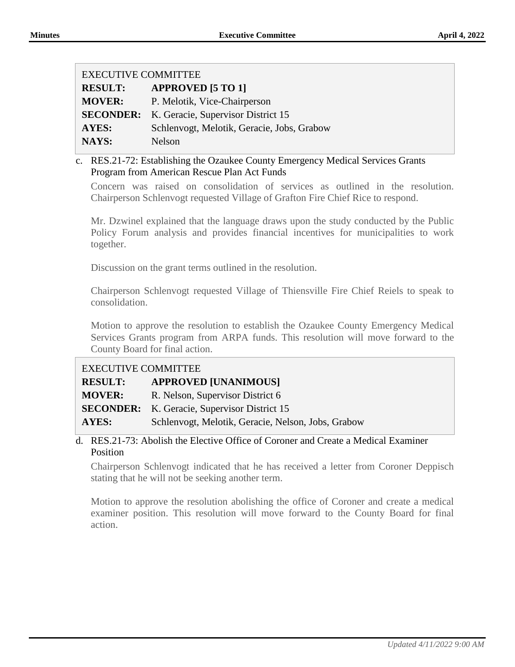| <b>EXECUTIVE COMMITTEE</b> |                                            |
|----------------------------|--------------------------------------------|
| <b>RESULT:</b>             | <b>APPROVED [5 TO 1]</b>                   |
| <b>MOVER:</b>              | P. Melotik, Vice-Chairperson               |
| <b>SECONDER:</b>           | K. Geracie, Supervisor District 15         |
| AYES:                      | Schlenvogt, Melotik, Geracie, Jobs, Grabow |
| NAYS:                      | Nelson                                     |

#### c. RES.21-72: Establishing the Ozaukee County Emergency Medical Services Grants Program from American Rescue Plan Act Funds

Concern was raised on consolidation of services as outlined in the resolution. Chairperson Schlenvogt requested Village of Grafton Fire Chief Rice to respond.

Mr. Dzwinel explained that the language draws upon the study conducted by the Public Policy Forum analysis and provides financial incentives for municipalities to work together.

Discussion on the grant terms outlined in the resolution.

Chairperson Schlenvogt requested Village of Thiensville Fire Chief Reiels to speak to consolidation.

Motion to approve the resolution to establish the Ozaukee County Emergency Medical Services Grants program from ARPA funds. This resolution will move forward to the County Board for final action.

# EXECUTIVE COMMITTEE

| <b>RESULT:</b> | <b>APPROVED [UNANIMOUS]</b>                         |
|----------------|-----------------------------------------------------|
| <b>MOVER:</b>  | R. Nelson, Supervisor District 6                    |
|                | <b>SECONDER:</b> K. Geracie, Supervisor District 15 |

**AYES:** Schlenvogt, Melotik, Geracie, Nelson, Jobs, Grabow

### d. RES.21-73: Abolish the Elective Office of Coroner and Create a Medical Examiner Position

Chairperson Schlenvogt indicated that he has received a letter from Coroner Deppisch stating that he will not be seeking another term.

Motion to approve the resolution abolishing the office of Coroner and create a medical examiner position. This resolution will move forward to the County Board for final action.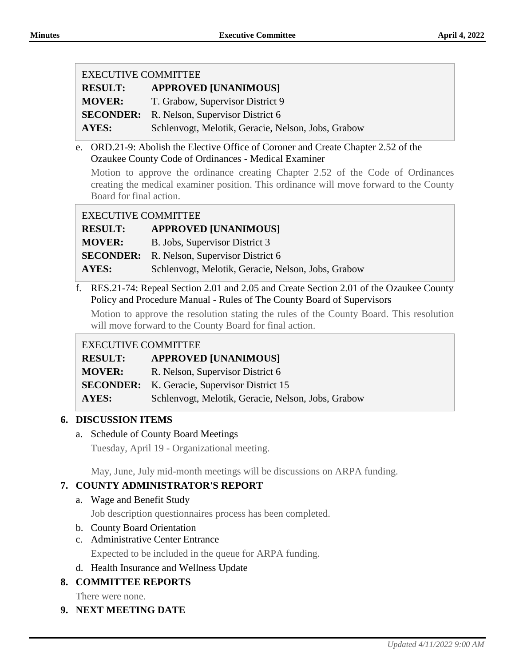| <b>EXECUTIVE COMMITTEE</b> |                                                    |
|----------------------------|----------------------------------------------------|
| <b>RESULT:</b>             | <b>APPROVED [UNANIMOUS]</b>                        |
| <b>MOVER:</b>              | T. Grabow, Supervisor District 9                   |
| <b>SECONDER:</b>           | R. Nelson, Supervisor District 6                   |
| <b>AYES:</b>               | Schlenvogt, Melotik, Geracie, Nelson, Jobs, Grabow |

e. ORD.21-9: Abolish the Elective Office of Coroner and Create Chapter 2.52 of the Ozaukee County Code of Ordinances - Medical Examiner

Motion to approve the ordinance creating Chapter 2.52 of the Code of Ordinances creating the medical examiner position. This ordinance will move forward to the County Board for final action.

| <b>RESULT:</b> | <b>APPROVED [UNANIMOUS]</b>                        |
|----------------|----------------------------------------------------|
| <b>MOVER:</b>  | B. Jobs, Supervisor District 3                     |
|                | <b>SECONDER:</b> R. Nelson, Supervisor District 6  |
| AYES:          | Schlenvogt, Melotik, Geracie, Nelson, Jobs, Grabow |

f. RES.21-74: Repeal Section 2.01 and 2.05 and Create Section 2.01 of the Ozaukee County Policy and Procedure Manual - Rules of The County Board of Supervisors

Motion to approve the resolution stating the rules of the County Board. This resolution will move forward to the County Board for final action.

### EXECUTIVE COMMITTEE

| <b>RESULT:</b> | <b>APPROVED [UNANIMOUS]</b>                         |
|----------------|-----------------------------------------------------|
| <b>MOVER:</b>  | R. Nelson, Supervisor District 6                    |
|                | <b>SECONDER:</b> K. Geracie, Supervisor District 15 |
| AYES:          | Schlenvogt, Melotik, Geracie, Nelson, Jobs, Grabow  |

### **6. DISCUSSION ITEMS**

a. Schedule of County Board Meetings

Tuesday, April 19 - Organizational meeting.

May, June, July mid-month meetings will be discussions on ARPA funding.

## **7. COUNTY ADMINISTRATOR'S REPORT**

a. Wage and Benefit Study

Job description questionnaires process has been completed.

- b. County Board Orientation
- c. Administrative Center Entrance
	- Expected to be included in the queue for ARPA funding.
- d. Health Insurance and Wellness Update

## **8. COMMITTEE REPORTS**

There were none.

**9. NEXT MEETING DATE**